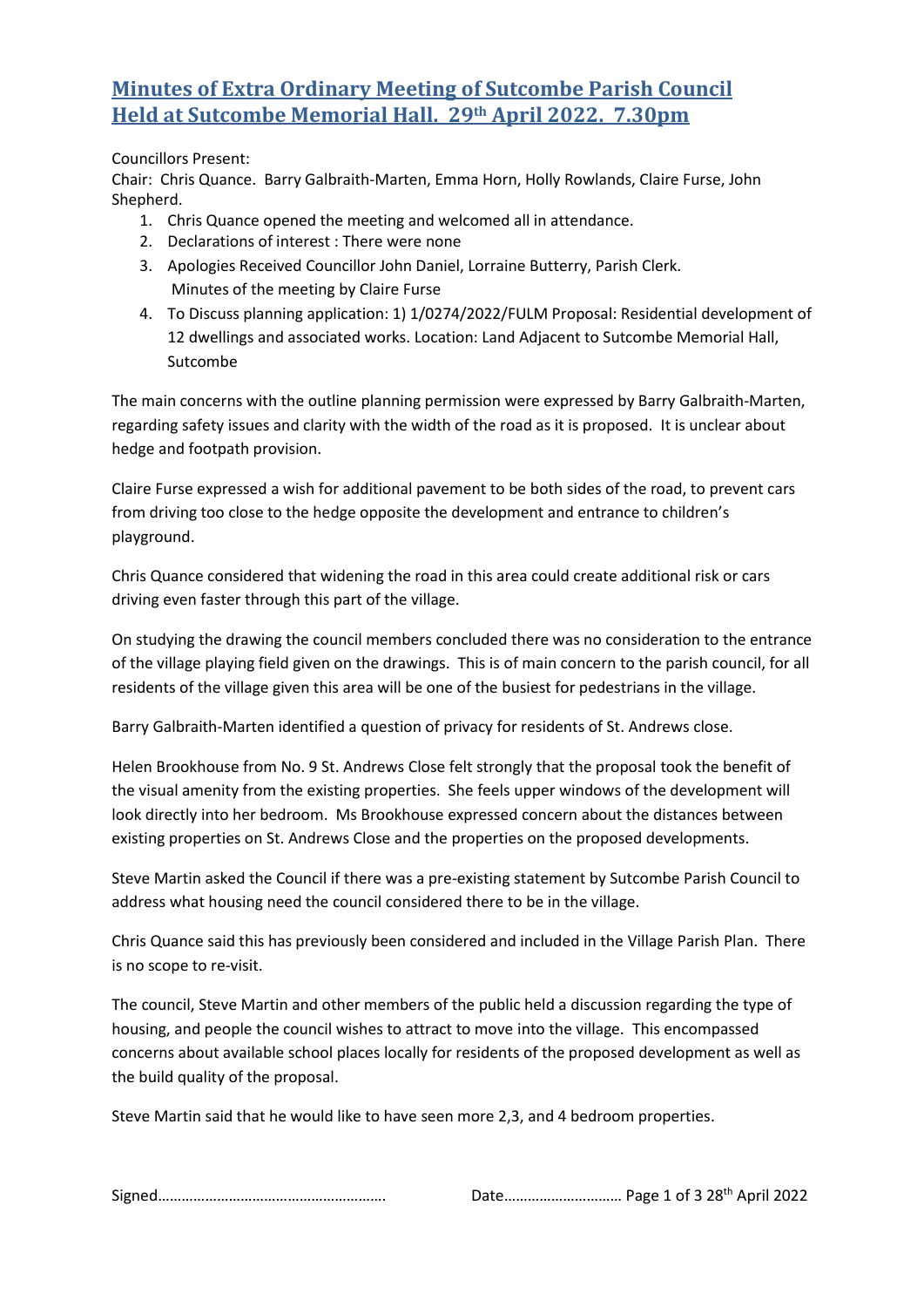## **Minutes of Extra Ordinary Meeting of Sutcombe Parish Council Held at Sutcombe Memorial Hall. 29th April 2022. 7.30pm**

## Councillors Present:

Chair: Chris Quance. Barry Galbraith-Marten, Emma Horn, Holly Rowlands, Claire Furse, John Shepherd.

- 1. Chris Quance opened the meeting and welcomed all in attendance.
- 2. Declarations of interest : There were none
- 3. Apologies Received Councillor John Daniel, Lorraine Butterry, Parish Clerk. Minutes of the meeting by Claire Furse
- 4. To Discuss planning application: 1) 1/0274/2022/FULM Proposal: Residential development of 12 dwellings and associated works. Location: Land Adjacent to Sutcombe Memorial Hall, Sutcombe

The main concerns with the outline planning permission were expressed by Barry Galbraith-Marten, regarding safety issues and clarity with the width of the road as it is proposed. It is unclear about hedge and footpath provision.

Claire Furse expressed a wish for additional pavement to be both sides of the road, to prevent cars from driving too close to the hedge opposite the development and entrance to children's playground.

Chris Quance considered that widening the road in this area could create additional risk or cars driving even faster through this part of the village.

On studying the drawing the council members concluded there was no consideration to the entrance of the village playing field given on the drawings. This is of main concern to the parish council, for all residents of the village given this area will be one of the busiest for pedestrians in the village.

Barry Galbraith-Marten identified a question of privacy for residents of St. Andrews close.

Helen Brookhouse from No. 9 St. Andrews Close felt strongly that the proposal took the benefit of the visual amenity from the existing properties. She feels upper windows of the development will look directly into her bedroom. Ms Brookhouse expressed concern about the distances between existing properties on St. Andrews Close and the properties on the proposed developments.

Steve Martin asked the Council if there was a pre-existing statement by Sutcombe Parish Council to address what housing need the council considered there to be in the village.

Chris Quance said this has previously been considered and included in the Village Parish Plan. There is no scope to re-visit.

The council, Steve Martin and other members of the public held a discussion regarding the type of housing, and people the council wishes to attract to move into the village. This encompassed concerns about available school places locally for residents of the proposed development as well as the build quality of the proposal.

Steve Martin said that he would like to have seen more 2,3, and 4 bedroom properties.

|--|--|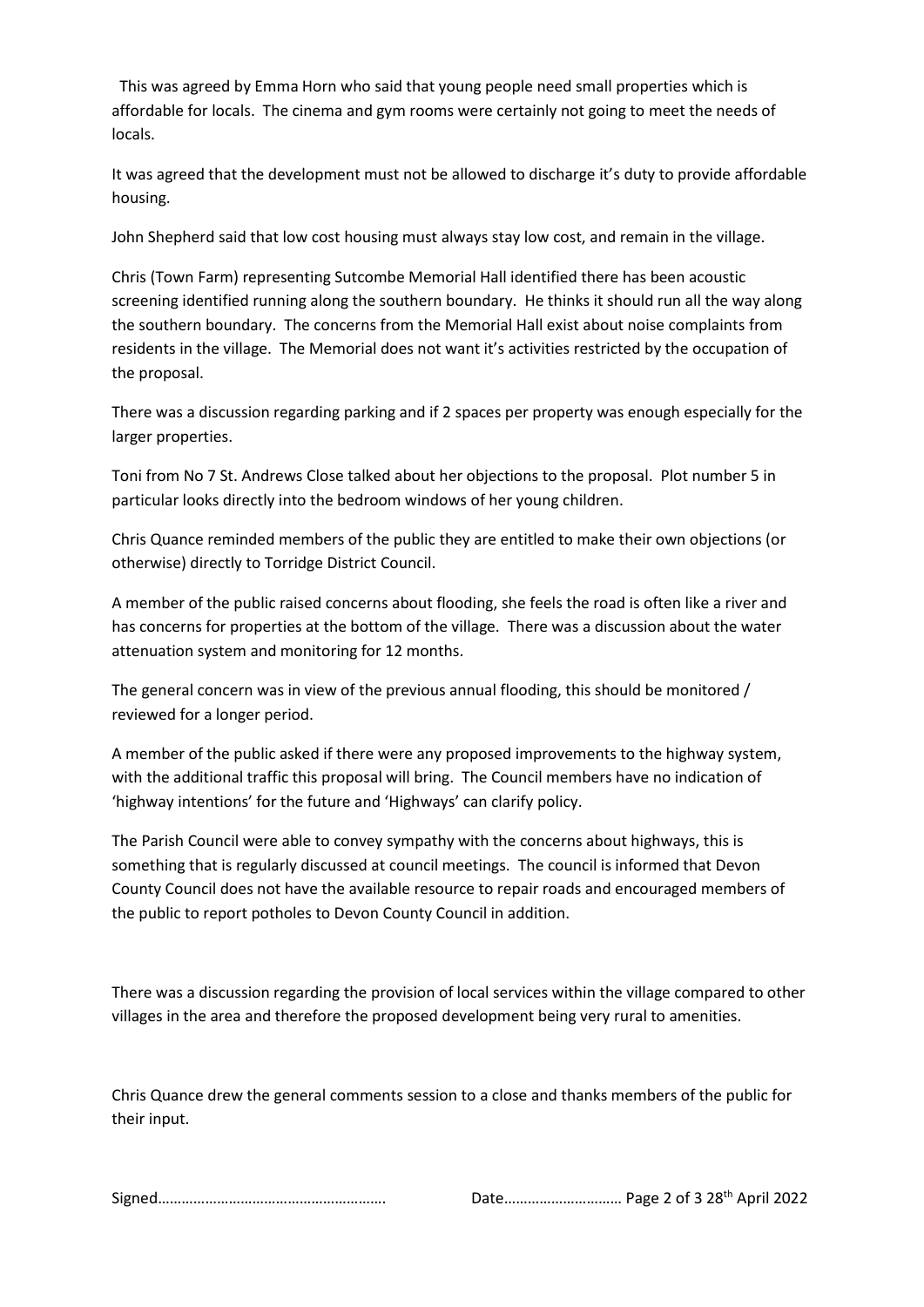This was agreed by Emma Horn who said that young people need small properties which is affordable for locals. The cinema and gym rooms were certainly not going to meet the needs of locals.

It was agreed that the development must not be allowed to discharge it's duty to provide affordable housing.

John Shepherd said that low cost housing must always stay low cost, and remain in the village.

Chris (Town Farm) representing Sutcombe Memorial Hall identified there has been acoustic screening identified running along the southern boundary. He thinks it should run all the way along the southern boundary. The concerns from the Memorial Hall exist about noise complaints from residents in the village. The Memorial does not want it's activities restricted by the occupation of the proposal.

There was a discussion regarding parking and if 2 spaces per property was enough especially for the larger properties.

Toni from No 7 St. Andrews Close talked about her objections to the proposal. Plot number 5 in particular looks directly into the bedroom windows of her young children.

Chris Quance reminded members of the public they are entitled to make their own objections (or otherwise) directly to Torridge District Council.

A member of the public raised concerns about flooding, she feels the road is often like a river and has concerns for properties at the bottom of the village. There was a discussion about the water attenuation system and monitoring for 12 months.

The general concern was in view of the previous annual flooding, this should be monitored / reviewed for a longer period.

A member of the public asked if there were any proposed improvements to the highway system, with the additional traffic this proposal will bring. The Council members have no indication of 'highway intentions' for the future and 'Highways' can clarify policy.

The Parish Council were able to convey sympathy with the concerns about highways, this is something that is regularly discussed at council meetings. The council is informed that Devon County Council does not have the available resource to repair roads and encouraged members of the public to report potholes to Devon County Council in addition.

There was a discussion regarding the provision of local services within the village compared to other villages in the area and therefore the proposed development being very rural to amenities.

Chris Quance drew the general comments session to a close and thanks members of the public for their input.